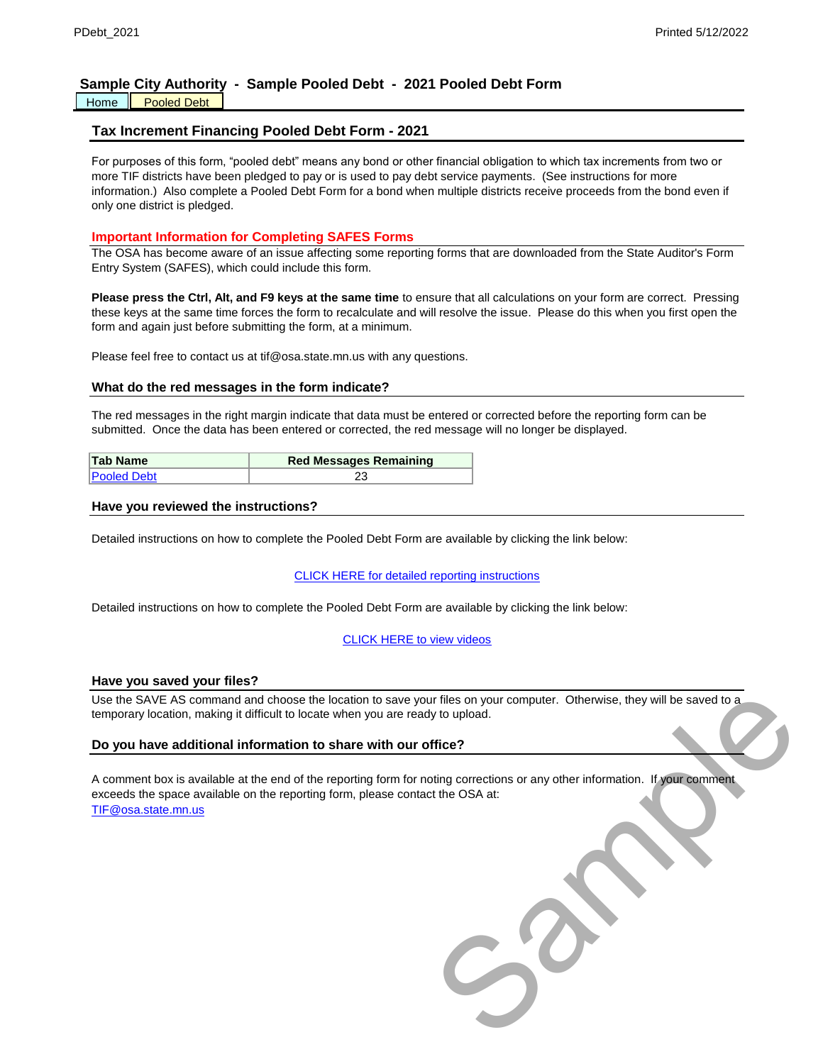# **Sample City Authority - Sample Pooled Debt - 2021 Pooled Debt Form**

#### Home | Pooled Debt

# **Tax Increment Financing Pooled Debt Form - 2021**

For purposes of this form, "pooled debt" means any bond or other financial obligation to which tax increments from two or more TIF districts have been pledged to pay or is used to pay debt service payments. (See instructions for more information.) Also complete a Pooled Debt Form for a bond when multiple districts receive proceeds from the bond even if only one district is pledged.

# **Important Information for Completing SAFES Forms**

The OSA has become aware of an issue affecting some reporting forms that are downloaded from the State Auditor's Form Entry System (SAFES), which could include this form.

**Please press the Ctrl, Alt, and F9 keys at the same time** to ensure that all calculations on your form are correct. Pressing these keys at the same time forces the form to recalculate and will resolve the issue. Please do this when you first open the form and again just before submitting the form, at a minimum.

Please feel free to contact us at tif@osa.state.mn.us with any questions.

### **What do the red messages in the form indicate?**

The red messages in the right margin indicate that data must be entered or corrected before the reporting form can be submitted. Once the data has been entered or corrected, the red message will no longer be displayed.

| <b>Tab Name</b>    | <b>Red Messages Remaining</b> |  |  |  |  |  |
|--------------------|-------------------------------|--|--|--|--|--|
| <b>Pooled Debt</b> |                               |  |  |  |  |  |

#### **Have you reviewed the instructions?**

Detailed instructions on how to complete the Pooled Debt Form are available by clicking the link below:

#### CLICK HERE for detailed reporting instructions

Detailed instructions on how to complete the Pooled Debt Form are available by clicking the link below:

#### CLICK HERE to view videos

#### **Have you saved your files?**

Use the SAVE AS command and choose the location to save your files on your computer. Otherwise, they will be saved to a temporary location, making it difficult to locate when you are ready to upload.

### **Do you have additional information to share with our office?**

[TIF](mailto:TIF@osa.state.mn.us)@osa.state.mn.us A comment box is available at the end of the reporting form for noting corrections or any other information. If your comment exceeds the space available on the reporting form, please contact the OSA at: In the Son your computer. Otherwise, they will be saved to a<br>Sy to upload.<br>This corrections or any other information. If your comment<br>of the OSA at:<br>The OSA at: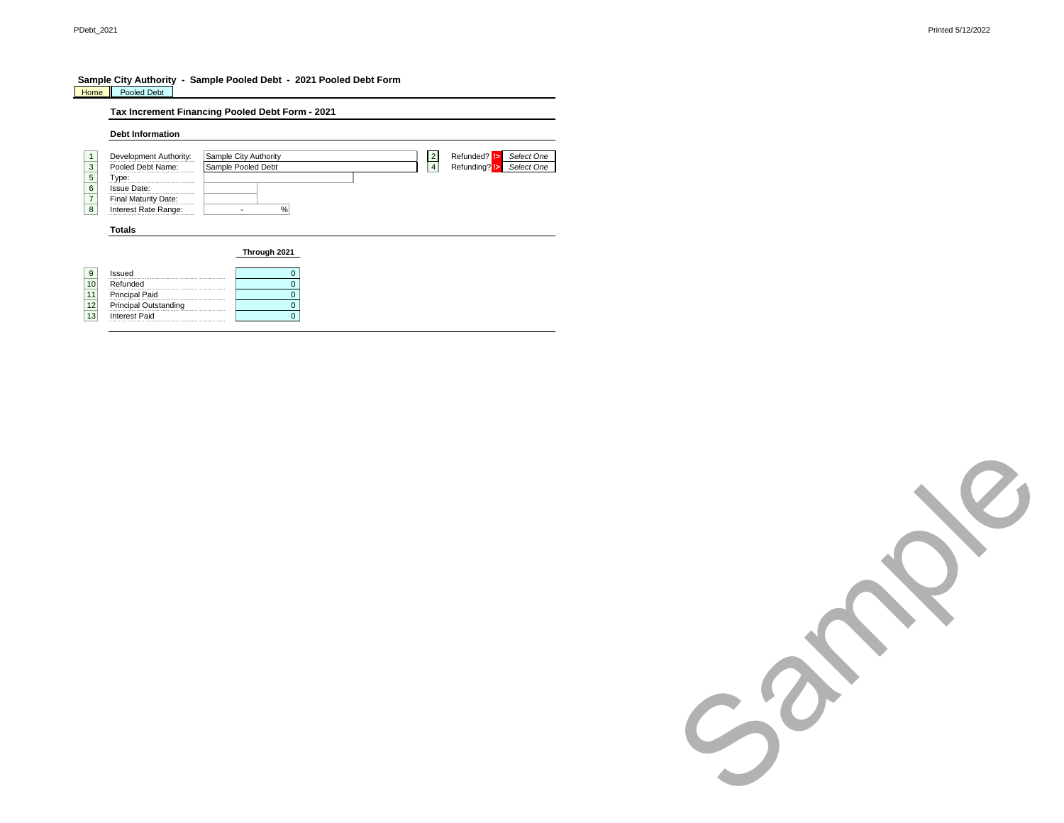#### **Sample City Authority - Sample Pooled Debt - 2021 Pooled Debt Form** Home Pooled Debt

Interest Paid

|    |                         | Tax Increment Financing Pooled Debt Form - 2021                       |
|----|-------------------------|-----------------------------------------------------------------------|
|    | <b>Debt Information</b> |                                                                       |
| 1  | Development Authority:  | Refunded? !><br>Select One<br>Sample City Authority<br>$\overline{2}$ |
| 3  | Pooled Debt Name:       | $\overline{4}$<br>Sample Pooled Debt<br>Refunding? !><br>Select One   |
| 5  | Type:<br>               |                                                                       |
| 6  | <b>Issue Date:</b>      |                                                                       |
|    | Final Maturity Date:    |                                                                       |
| 8  | Interest Rate Range:    | %                                                                     |
|    | <b>Totals</b>           | Through 2021                                                          |
| 9  | Issued                  | 0                                                                     |
| 10 | Refunded                | $\Omega$                                                              |
|    | <b>Principal Paid</b>   | $\Omega$                                                              |
| 12 | Principal Outstanding   | $\Omega$                                                              |
| 13 | <b>Interest Paid</b>    | 0                                                                     |

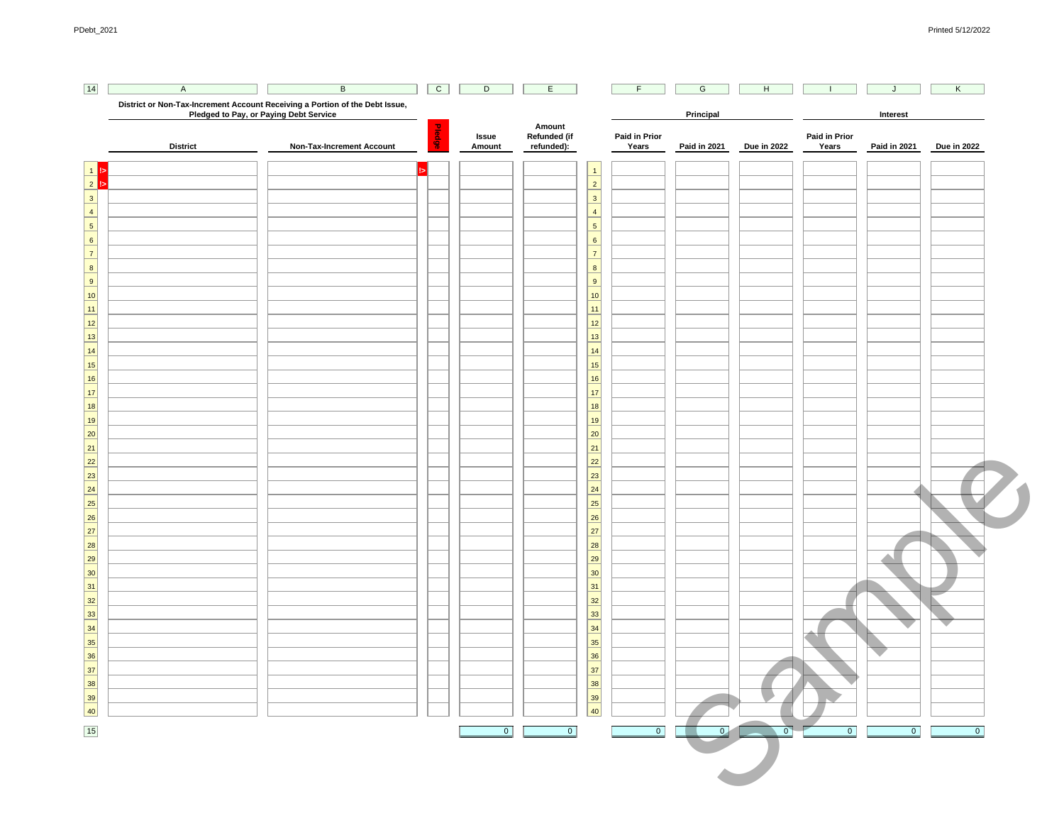| District or Non-Tax-Increment Account Receiving a Portion of the Debt Issue,<br>Pledged to Pay, or Paying Debt Service<br>Non-Tax-Increment Account | Pledge | Issue<br>Amount | Amount<br>Refunded (if<br>refunded): | 1<br>$\overline{2}$ | Paid in Prior<br>Years                                                                                                                                                                                                                                                                                        | Principal<br><b>Paid in 2021</b> | Due in 2022    | Paid in Prior<br>Years | Interest<br><b>Paid in 2021</b> | Due in 2022 |
|-----------------------------------------------------------------------------------------------------------------------------------------------------|--------|-----------------|--------------------------------------|---------------------|---------------------------------------------------------------------------------------------------------------------------------------------------------------------------------------------------------------------------------------------------------------------------------------------------------------|----------------------------------|----------------|------------------------|---------------------------------|-------------|
|                                                                                                                                                     |        |                 |                                      |                     |                                                                                                                                                                                                                                                                                                               |                                  |                |                        |                                 |             |
|                                                                                                                                                     |        |                 |                                      |                     |                                                                                                                                                                                                                                                                                                               |                                  |                |                        |                                 |             |
|                                                                                                                                                     |        |                 |                                      |                     |                                                                                                                                                                                                                                                                                                               |                                  |                |                        |                                 |             |
|                                                                                                                                                     |        |                 |                                      |                     |                                                                                                                                                                                                                                                                                                               |                                  |                |                        |                                 |             |
|                                                                                                                                                     |        |                 |                                      |                     |                                                                                                                                                                                                                                                                                                               |                                  |                |                        |                                 |             |
|                                                                                                                                                     |        |                 |                                      | 3                   |                                                                                                                                                                                                                                                                                                               |                                  |                |                        |                                 |             |
|                                                                                                                                                     |        |                 |                                      | 4                   |                                                                                                                                                                                                                                                                                                               |                                  |                |                        |                                 |             |
|                                                                                                                                                     |        |                 |                                      | 5                   |                                                                                                                                                                                                                                                                                                               |                                  |                |                        |                                 |             |
|                                                                                                                                                     |        |                 |                                      | $6\overline{6}$     |                                                                                                                                                                                                                                                                                                               |                                  |                |                        |                                 |             |
|                                                                                                                                                     |        |                 |                                      | 7                   |                                                                                                                                                                                                                                                                                                               |                                  |                |                        |                                 |             |
|                                                                                                                                                     |        |                 |                                      | 8                   |                                                                                                                                                                                                                                                                                                               |                                  |                |                        |                                 |             |
|                                                                                                                                                     |        |                 |                                      | $\overline{9}$      |                                                                                                                                                                                                                                                                                                               |                                  |                |                        |                                 |             |
|                                                                                                                                                     |        |                 |                                      | 10                  |                                                                                                                                                                                                                                                                                                               |                                  |                |                        |                                 |             |
|                                                                                                                                                     |        |                 |                                      | $\boxed{11}$        |                                                                                                                                                                                                                                                                                                               |                                  |                |                        |                                 |             |
|                                                                                                                                                     |        |                 |                                      | 12                  |                                                                                                                                                                                                                                                                                                               |                                  |                |                        |                                 |             |
|                                                                                                                                                     |        |                 |                                      | 13                  |                                                                                                                                                                                                                                                                                                               |                                  |                |                        |                                 |             |
|                                                                                                                                                     |        |                 |                                      | $\boxed{14}$        |                                                                                                                                                                                                                                                                                                               |                                  |                |                        |                                 |             |
|                                                                                                                                                     |        |                 |                                      | $\boxed{15}$        |                                                                                                                                                                                                                                                                                                               |                                  |                |                        |                                 |             |
|                                                                                                                                                     |        |                 |                                      | $\boxed{16}$        |                                                                                                                                                                                                                                                                                                               |                                  |                |                        |                                 |             |
|                                                                                                                                                     |        |                 |                                      | 17                  |                                                                                                                                                                                                                                                                                                               |                                  |                |                        |                                 |             |
|                                                                                                                                                     |        |                 |                                      | <u>18</u>           |                                                                                                                                                                                                                                                                                                               |                                  |                |                        |                                 |             |
|                                                                                                                                                     |        |                 |                                      | 19                  |                                                                                                                                                                                                                                                                                                               |                                  |                |                        |                                 |             |
|                                                                                                                                                     |        |                 |                                      | $\boxed{20}$        |                                                                                                                                                                                                                                                                                                               |                                  |                |                        |                                 |             |
|                                                                                                                                                     |        |                 |                                      | 21                  |                                                                                                                                                                                                                                                                                                               |                                  |                |                        |                                 |             |
|                                                                                                                                                     |        |                 |                                      | $\boxed{22}$        |                                                                                                                                                                                                                                                                                                               |                                  |                |                        |                                 |             |
|                                                                                                                                                     |        |                 |                                      | 23                  |                                                                                                                                                                                                                                                                                                               |                                  |                |                        |                                 |             |
|                                                                                                                                                     |        |                 |                                      |                     |                                                                                                                                                                                                                                                                                                               |                                  |                |                        |                                 |             |
|                                                                                                                                                     |        |                 |                                      |                     |                                                                                                                                                                                                                                                                                                               |                                  |                |                        |                                 |             |
|                                                                                                                                                     |        |                 |                                      |                     |                                                                                                                                                                                                                                                                                                               |                                  |                |                        |                                 |             |
|                                                                                                                                                     |        |                 |                                      |                     |                                                                                                                                                                                                                                                                                                               |                                  |                |                        |                                 |             |
|                                                                                                                                                     |        |                 |                                      |                     |                                                                                                                                                                                                                                                                                                               |                                  |                |                        |                                 |             |
|                                                                                                                                                     |        |                 |                                      |                     |                                                                                                                                                                                                                                                                                                               |                                  |                |                        |                                 |             |
|                                                                                                                                                     |        |                 |                                      |                     |                                                                                                                                                                                                                                                                                                               |                                  |                |                        |                                 |             |
|                                                                                                                                                     |        |                 |                                      |                     |                                                                                                                                                                                                                                                                                                               |                                  |                |                        |                                 |             |
|                                                                                                                                                     |        |                 |                                      |                     |                                                                                                                                                                                                                                                                                                               |                                  |                |                        |                                 |             |
|                                                                                                                                                     |        |                 |                                      |                     |                                                                                                                                                                                                                                                                                                               |                                  |                |                        |                                 |             |
|                                                                                                                                                     |        |                 |                                      |                     |                                                                                                                                                                                                                                                                                                               |                                  |                |                        |                                 |             |
|                                                                                                                                                     |        |                 |                                      |                     |                                                                                                                                                                                                                                                                                                               |                                  |                |                        | U                               |             |
|                                                                                                                                                     |        |                 |                                      |                     |                                                                                                                                                                                                                                                                                                               |                                  |                |                        |                                 |             |
|                                                                                                                                                     |        |                 |                                      |                     |                                                                                                                                                                                                                                                                                                               |                                  |                |                        |                                 |             |
|                                                                                                                                                     |        |                 |                                      |                     |                                                                                                                                                                                                                                                                                                               |                                  |                |                        |                                 |             |
|                                                                                                                                                     |        |                 |                                      |                     |                                                                                                                                                                                                                                                                                                               |                                  |                |                        |                                 |             |
|                                                                                                                                                     |        |                 |                                      |                     |                                                                                                                                                                                                                                                                                                               |                                  |                |                        |                                 |             |
|                                                                                                                                                     |        |                 |                                      |                     |                                                                                                                                                                                                                                                                                                               |                                  |                |                        |                                 |             |
|                                                                                                                                                     |        | $\boxed{0}$     | $\boxed{0}$                          |                     | $\boxed{0}$                                                                                                                                                                                                                                                                                                   | $\overline{0}$                   | $\overline{0}$ | $\boxed{0}$            | $\boxed{0}$                     | $\boxed{0}$ |
|                                                                                                                                                     |        |                 |                                      |                     | $\boxed{24}$<br>$\boxed{25}$<br> 26 <br>$\boxed{27}$<br> 28 <br>$\boxed{29}$<br> 30 <br>31<br>32<br>$\boxed{33}$<br>34<br>$\boxed{35}$<br>$\begin{array}{ c c }\n\hline\n36 \\ \hline\n37\n\end{array}$<br>$\begin{array}{r} \n \stackrel{38}{\longrightarrow} \\  \hline\n 39 \\  \hline\n 40\n \end{array}$ |                                  |                |                        |                                 |             |